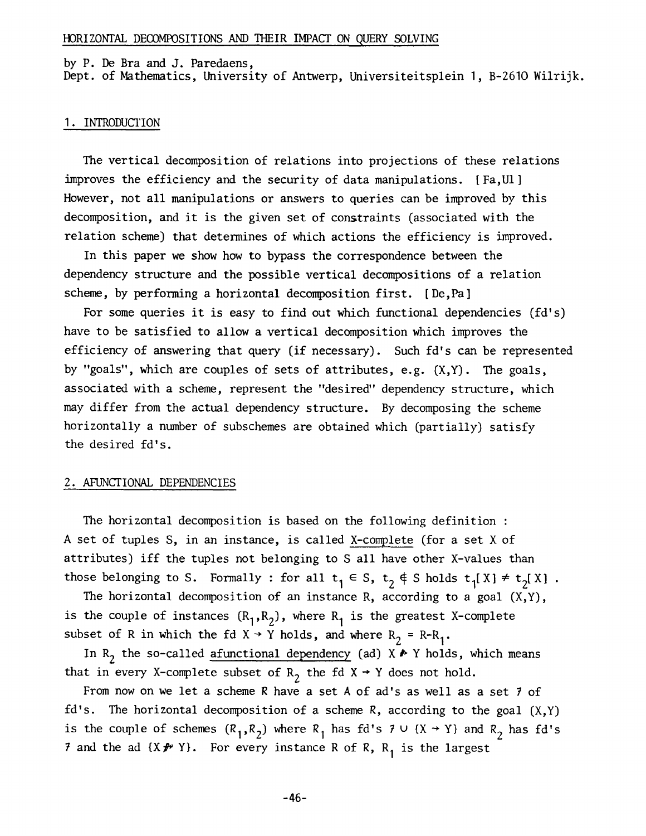#### by P. De Bra and J. Paredaens,

Dept. of Mathematics, University of Antwerp, Universiteitsplein I, B-2610 Wilrijk.

#### I. INTRODUCTION

The vertical decomposition of relations into projections of these relations improves the efficiency and the security of data manipulations. [Fa,UI] However, not all manipulations or answers to queries can be improved by this decomposition, and it is the given set of constraints (associated with the relation scheme) that determines of which actions the efficiency is improved.

In this paper we show how to bypass the correspondence between the dependency structure and the possible vertical decompositions of a relation scheme, by performing a horizontal decomposition first. [De,Pa]

For some queries it is easy to find out which functional dependencies (fd's) have to be satisfied to allow a vertical decomposition which improves the efficiency of answering that query (if necessary). Such fd's can be represented by "goals", which are couples of sets of attributes, e.g. (X,Y). The goals, associated with a scheme, represent the "desired" dependency structure, which may differ from the actual dependency structure. By decomposing the scheme horizontally a number of subschemes are obtained which (partially) satisfy the desired fd's.

#### 2. AFUNCTIONAL DEPENDENCIES

The horizontal decomposition is based on the following definition : A set of tuples S, in an instance, is called X-complete (for a set X of attributes) iff the tuples not belonging to S all have other X-values than those belonging to S. Formally : for all  $t_1 \in S$ ,  $t_2 \notin S$  holds  $t_1[X] \neq t_2[X]$ .

The horizontal decomposition of an instance R, according to a goal  $(X,Y)$ , is the couple of instances  $(R_1, R_2)$ , where  $R_1$  is the greatest X-complete subset of R in which the fd  $X \rightarrow Y$  holds, and where  $R_2 = R - R_1$ .

In R<sub>2</sub> the so-called afunctional dependency (ad)  $X \rightarrow Y$  holds, which means that in every X-complete subset of R<sub>2</sub> the fd X  $\rightarrow$  Y does not hold.

From now on we let a scheme R have a set A of ad's as well as a set 7 of  $fd's.$  The horizontal decomposition of a scheme R, according to the goal  $(X,Y)$ is the couple of schemes  $(R_1, R_2)$  where  $R_1$  has fd's  $7 \cup \{X \rightarrow Y\}$  and  $R_2$  has fd's 7 and the ad  $\{X\neq Y\}$ . For every instance R of R, R<sub>1</sub> is the largest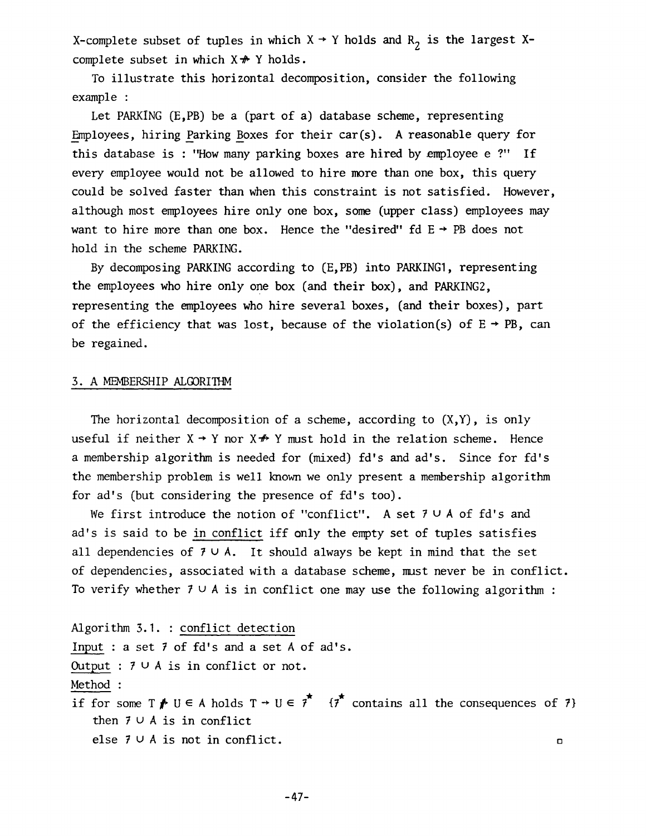X-complete subset of tuples in which  $X \rightarrow Y$  holds and  $R_2$  is the largest Xcomplete subset in which  $X \not\rightarrow Y$  holds.

To illustrate this horizontal decomposition, consider the following example :

Let PARKING (E,PB) be a (part of a) database scheme, representing  $Emplovees$ , hiring Parking Boxes for their  $car(s)$ . A reasonable query for this database is : "How many parking boxes are hired by employee e ?" If every employee would not be allowed to hire more than one box, this query could be solved faster than when this constraint is not satisfied. However, although most employees hire only one box, some (upper class) employees may want to hire more than one box. Hence the "desired" fd  $E \rightarrow PB$  does not hold in the scheme PARKING.

By decomposing PARKING according to (E,PB) into PARKINGI, representing the employees who hire only one box (and their box), and PARKING2, representing the employees who hire several boxes, (and their boxes), part of the efficiency that was lost, because of the violation(s) of  $E \rightarrow PB$ , can be regained.

### 3. A MEMBERSHIP ALGORITHM

The horizontal decomposition of a scheme, according to  $(X, Y)$ , is only useful if neither  $X \rightarrow Y$  nor  $X \not\rightarrow Y$  must hold in the relation scheme. Hence a membership algorithm is needed for (mixed) fd's and ad's. Since for fd's the membership problem is well known we only present a membership algorithm for ad's (but considering the presence of fd's too).

We first introduce the notion of "conflict". A set  $7 \cup A$  of fd's and ad's is said to be in conflict iff only the empty set of tuples satisfies all dependencies of  $7 \cup A$ . It should always be kept in mind that the set of dependencies, associated with a database scheme, mast never be in conflict. To verify whether  $7 \cup A$  is in conflict one may use the following algorithm :

Algorithm 3.1. : conflict detection Input : a set 7 of fd's and a set A of ad's. Output :  $7 \cup A$  is in conflict or not. Method : if for some T  $\blacktriangleright$  U  $\in$  A holds T  $\rightarrow$  U  $\in$  7  $\blacksquare$  {7} contains all the consequences of 7} then  $7 \cup A$  is in conflict

else  $7 \cup A$  is not in conflict.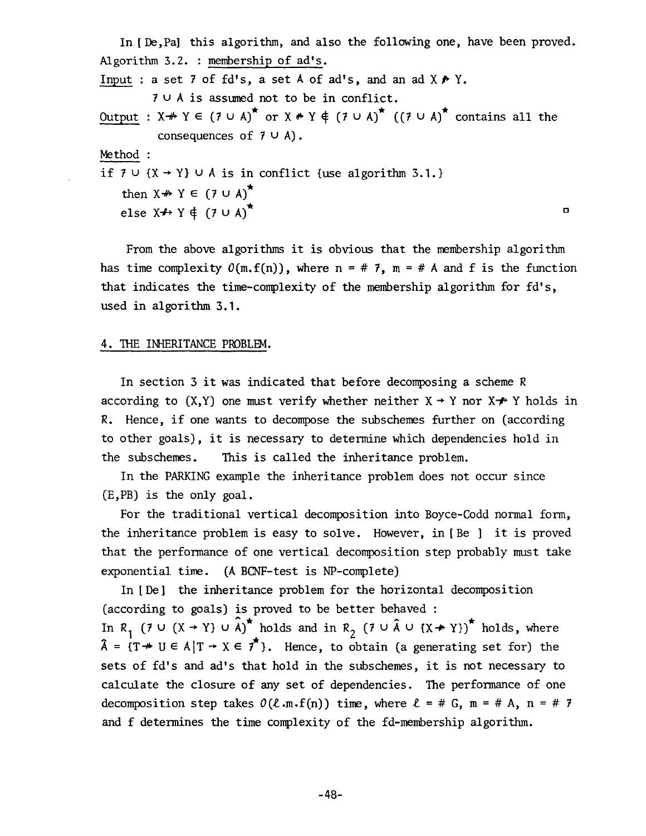In [De,Pal this algorithm, and also the following one, have been proved. Algorithm 3.2. : membership of ad's. Input : a set 7 of fd's, a set A of ad's, and an ad  $X \nrightarrow Y$ .  $7 \cup A$  is assumed not to be in conflict. Output :  $X \nrightarrow Y \in (7 \cup A)^*$  or  $X \nrightarrow Y \notin (7 \cup A)^*$  ((7  $\cup$  A)<sup>\*</sup> contains all the consequences of  $7 \cup A$ ). Method : if  $7 \cup \{X \rightarrow Y\} \cup A$  is in conflict {use algorithm 3.1.} then  $X \nrightarrow Y \in (7 \cup A)^{\star}$ else  $X \nrightarrow Y \notin (7 \cup A)^{\star}$ 

From the above algorithms it is obvious that the membership algorithm has time complexity  $O(m, f(n))$ , where  $n = # 7$ ,  $m = # A$  and f is the function that indicates the time-complexity of the membership algorithm for fd's, used in algorithm 3.1.

#### 4. THE INHERITANCE PROBLEM.

In section 3 it was indicated that before decomposing a scheme R according to  $(X, Y)$  one must verify whether neither  $X \rightarrow Y$  nor  $X \not\rightarrow Y$  holds in R. Hence, if one wants to decompose the subschemes further on (according to other goals), it is necessary to determine which dependencies hold in the subschemes. This is called the inheritance problem.

In the PARKING example the inheritance problem does not occur since (E,PB) is the only goal.

For the traditional vertical decomposition into Boyce-Codd normal form, the inheritance problem is easy to solve. However, in [Be ] it is proved that the performance of one vertical decomposition step probably must take exponential time. (A BCNF-test is NP-complete)

In [ De] the inheritance problem for the horizontal decomposition (according to goals) is proved to be better behaved : In R<sub>1</sub> (7 U (X + Y) U  $\hat{A}$ <sup>\*</sup> holds and in R<sub>2</sub> (7 U  $\hat{A}$  U {X  $\neq$  Y)}<sup>\*</sup> holds, where  $\hat{\lambda} = \{T \ast U \in A | T \to X \in \hat{\tau} \}$ . Hence, to obtain (a generating set for) the sets of fd's and ad's that hold in the subschemes, it is not necessary to calculate the closure of any set of dependencies. The performance of one decomposition step takes  $O(\ell \cdot m \cdot f(n))$  time, where  $\ell = \# G$ ,  $m = \# A$ ,  $n = \# 7$ and f determines the time complexity of the fd-membership algorithm.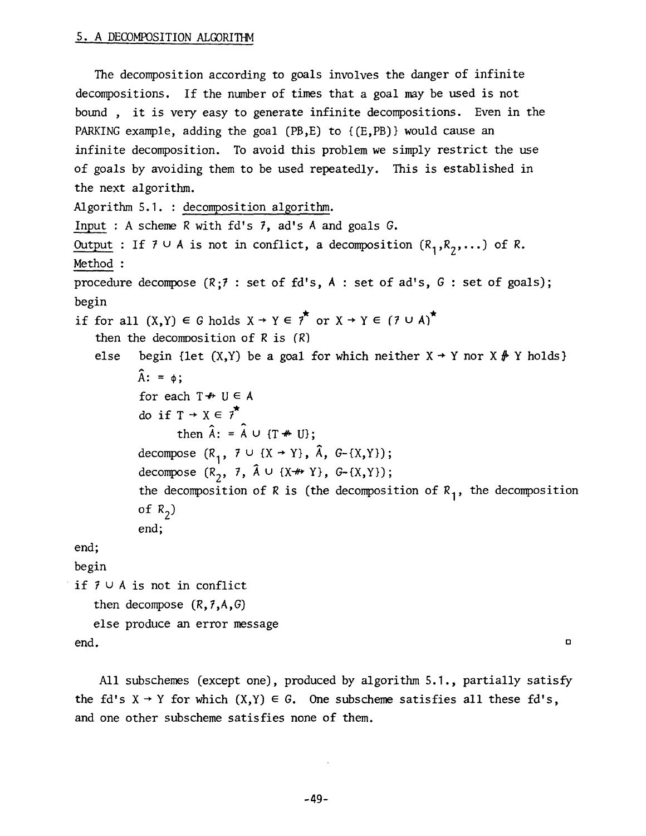# 5. A DECOMPOSITION ALGORITHM

The decomposition according to goals involves the danger of infinite decompositions. If the number of times that a goal may be used is not bound , it is very easy to generate infinite decompositions. Even in the PARKING example, adding the goal (PB, E) to  ${(E, PB)}$  would cause an infinite decomposition. To avoid this problem we simply restrict the use of goals by avoiding them to be used repeatedly. This is established in the next algorithm. Algorithm 5.1. : decomposition algorithm. Input : A scheme R with fd's 7, ad's A and goals G. Output : If  $7 \cup A$  is not in conflict, a decomposition  $(R_1, R_2, \dots)$  of R. Method : procedure decompose (R;7 : set of fd's, A : set of ad's, G : set of goals); begin if for all  $(X,Y) \in G$  holds  $X \rightarrow Y \in \mathfrak{f}^*$  or  $X \rightarrow Y \in (\mathfrak{I} \cup A)^*$ then the decomposition of  $R$  is  $(R)$ else begin {let  $(X, Y)$  be a goal for which neither  $X \rightarrow Y$  nor  $X \not\rightarrow Y$  holds}  $\hat{A}$ : =  $\phi$ ; for each  $T \nrightarrow U \in A$ do if  $T \rightarrow X \in \mathcal{F}^{\star}$ then  $\hat{A}$ : =  $\hat{A}$   $\cup$  {T  $\#$  U}; decompose  $(R_1, 7 \cup \{X \rightarrow Y\}, \hat{A}, G-(X,Y))$ ; decompose  $(R_2, 7, \hat{A} \cup \{X^{+}Y\}, G-(X,Y)\};$ the decomposition of R is (the decomposition of  $R_1$ , the decomposition of  $R_2$ ) end; end; begin if  $7 \cup A$  is not in conflict then decompose *(R,7,A,G)*  else produce an error message  $\Box$ end.

All subschemes (except one), produced by algorithm 5.I., partially satisfy the fd's  $X \rightarrow Y$  for which  $(X,Y) \in G$ . One subscheme satisfies all these fd's, and one other subscheme satisfies none of them.